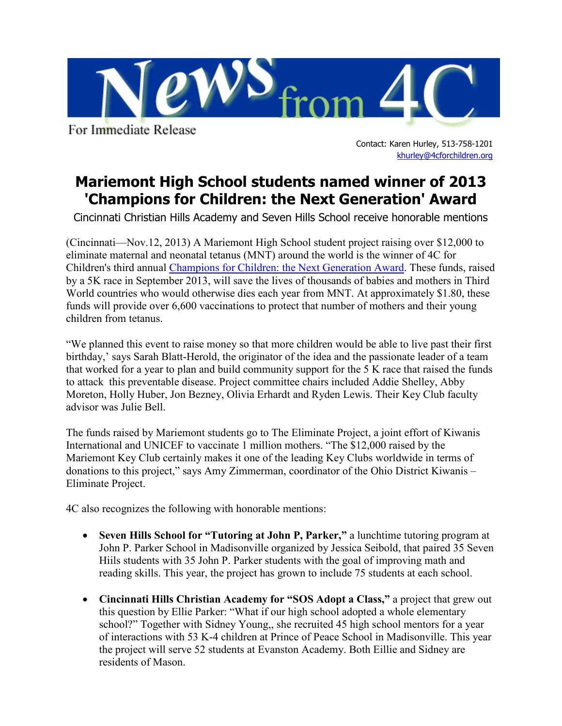

For Immediate Release

Contact: Karen Hurley, 513-758-1201 [khurley@4cforchildren.org](mailto:lkruse@4cforchildren.org)

## **Mariemont High School students named winner of 2013 'Champions for Children: the Next Generation' Award**

Cincinnati Christian Hills Academy and Seven Hills School receive honorable mentions

(Cincinnati—Nov.12, 2013) A Mariemont High School student project raising over \$12,000 to eliminate maternal and neonatal tetanus (MNT) around the world is the winner of 4C for Children's third annual [Champions for Children: the Next Generation Award.](http://4cforchildren.org/champions/Youth_Award.html) These funds, raised by a 5K race in September 2013, will save the lives of thousands of babies and mothers in Third World countries who would otherwise dies each year from MNT. At approximately \$1.80, these funds will provide over 6,600 vaccinations to protect that number of mothers and their young children from tetanus.

"We planned this event to raise money so that more children would be able to live past their first birthday,' says Sarah Blatt-Herold, the originator of the idea and the passionate leader of a team that worked for a year to plan and build community support for the 5 K race that raised the funds to attack this preventable disease. Project committee chairs included Addie Shelley, Abby Moreton, Holly Huber, Jon Bezney, Olivia Erhardt and Ryden Lewis. Their Key Club faculty advisor was Julie Bell.

The funds raised by Mariemont students go to The Eliminate Project, a joint effort of Kiwanis International and UNICEF to vaccinate 1 million mothers. "The \$12,000 raised by the Mariemont Key Club certainly makes it one of the leading Key Clubs worldwide in terms of donations to this project," says Amy Zimmerman, coordinator of the Ohio District Kiwanis – Eliminate Project.

4C also recognizes the following with honorable mentions:

- **Seven Hills School for "Tutoring at John P, Parker,"** a lunchtime tutoring program at John P. Parker School in Madisonville organized by Jessica Seibold, that paired 35 Seven Hiils students with 35 John P. Parker students with the goal of improving math and reading skills. This year, the project has grown to include 75 students at each school.
- **Cincinnati Hills Christian Academy for "SOS Adopt a Class,"** a project that grew out this question by Ellie Parker: "What if our high school adopted a whole elementary school?" Together with Sidney Young,, she recruited 45 high school mentors for a year of interactions with 53 K-4 children at Prince of Peace School in Madisonville. This year the project will serve 52 students at Evanston Academy. Both Eillie and Sidney are residents of Mason.